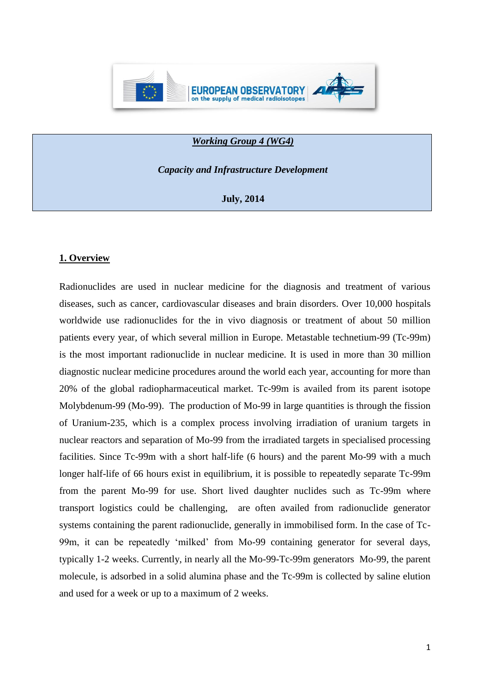

### *Working Group 4 (WG4)*

*Capacity and Infrastructure Development*

**July, 2014**

### **1. Overview**

Radionuclides are used in nuclear medicine for the diagnosis and treatment of various diseases, such as cancer, cardiovascular diseases and brain disorders. Over 10,000 hospitals worldwide use radionuclides for the in vivo diagnosis or treatment of about 50 million patients every year, of which several million in Europe. Metastable technetium-99 (Tc-99m) is the most important radionuclide in nuclear medicine. It is used in more than 30 million diagnostic nuclear medicine procedures around the world each year, accounting for more than 20% of the global radiopharmaceutical market. Tc-99m is availed from its parent isotope Molybdenum-99 (Mo-99). The production of Mo-99 in large quantities is through the fission of Uranium-235, which is a complex process involving irradiation of uranium targets in nuclear reactors and separation of Mo-99 from the irradiated targets in specialised processing facilities. Since Tc-99m with a short half-life (6 hours) and the parent Mo-99 with a much longer half-life of 66 hours exist in equilibrium, it is possible to repeatedly separate Tc-99m from the parent Mo-99 for use. Short lived daughter nuclides such as Tc-99m where transport logistics could be challenging, are often availed from radionuclide generator systems containing the parent radionuclide, generally in immobilised form. In the case of Tc-99m, it can be repeatedly 'milked' from Mo-99 containing generator for several days, typically 1-2 weeks. Currently, in nearly all the Mo-99-Tc-99m generators Mo-99, the parent molecule, is adsorbed in a solid alumina phase and the Tc-99m is collected by saline elution and used for a week or up to a maximum of 2 weeks.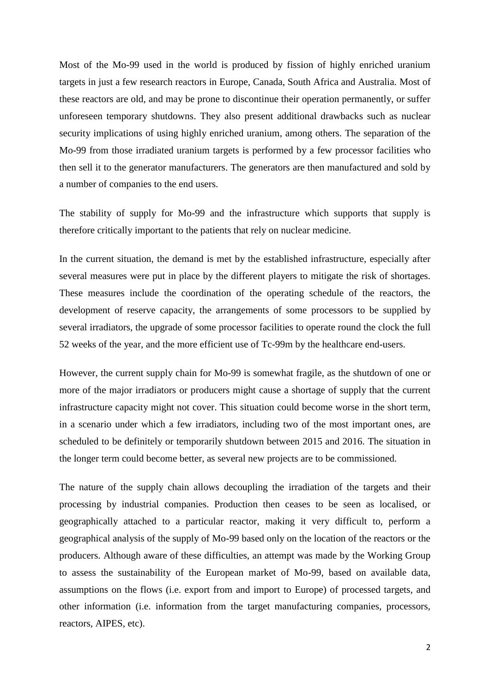Most of the Mo-99 used in the world is produced by fission of highly enriched uranium targets in just a few research reactors in Europe, Canada, South Africa and Australia. Most of these reactors are old, and may be prone to discontinue their operation permanently, or suffer unforeseen temporary shutdowns. They also present additional drawbacks such as nuclear security implications of using highly enriched uranium, among others. The separation of the Mo-99 from those irradiated uranium targets is performed by a few processor facilities who then sell it to the generator manufacturers. The generators are then manufactured and sold by a number of companies to the end users.

The stability of supply for Mo-99 and the infrastructure which supports that supply is therefore critically important to the patients that rely on nuclear medicine.

In the current situation, the demand is met by the established infrastructure, especially after several measures were put in place by the different players to mitigate the risk of shortages. These measures include the coordination of the operating schedule of the reactors, the development of reserve capacity, the arrangements of some processors to be supplied by several irradiators, the upgrade of some processor facilities to operate round the clock the full 52 weeks of the year, and the more efficient use of Tc-99m by the healthcare end-users.

However, the current supply chain for Mo-99 is somewhat fragile, as the shutdown of one or more of the major irradiators or producers might cause a shortage of supply that the current infrastructure capacity might not cover. This situation could become worse in the short term, in a scenario under which a few irradiators, including two of the most important ones, are scheduled to be definitely or temporarily shutdown between 2015 and 2016. The situation in the longer term could become better, as several new projects are to be commissioned.

The nature of the supply chain allows decoupling the irradiation of the targets and their processing by industrial companies. Production then ceases to be seen as localised, or geographically attached to a particular reactor, making it very difficult to, perform a geographical analysis of the supply of Mo-99 based only on the location of the reactors or the producers. Although aware of these difficulties, an attempt was made by the Working Group to assess the sustainability of the European market of Mo-99, based on available data, assumptions on the flows (i.e. export from and import to Europe) of processed targets, and other information (i.e. information from the target manufacturing companies, processors, reactors, AIPES, etc).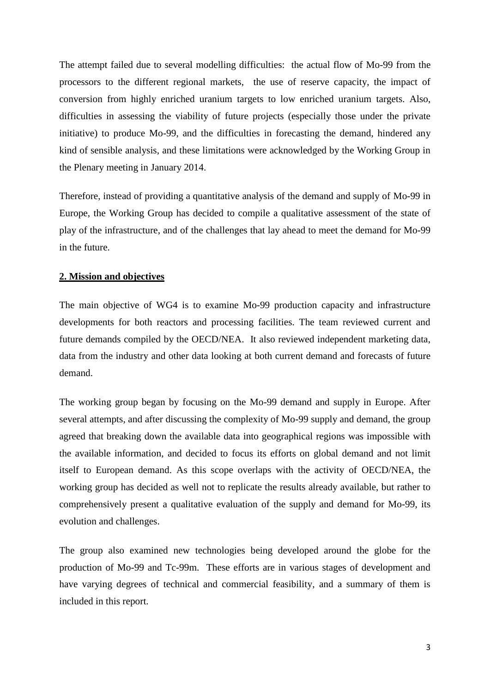The attempt failed due to several modelling difficulties: the actual flow of Mo-99 from the processors to the different regional markets, the use of reserve capacity, the impact of conversion from highly enriched uranium targets to low enriched uranium targets. Also, difficulties in assessing the viability of future projects (especially those under the private initiative) to produce Mo-99, and the difficulties in forecasting the demand, hindered any kind of sensible analysis, and these limitations were acknowledged by the Working Group in the Plenary meeting in January 2014.

Therefore, instead of providing a quantitative analysis of the demand and supply of Mo-99 in Europe, the Working Group has decided to compile a qualitative assessment of the state of play of the infrastructure, and of the challenges that lay ahead to meet the demand for Mo-99 in the future.

### **2. Mission and objectives**

The main objective of WG4 is to examine Mo-99 production capacity and infrastructure developments for both reactors and processing facilities. The team reviewed current and future demands compiled by the OECD/NEA. It also reviewed independent marketing data, data from the industry and other data looking at both current demand and forecasts of future demand.

The working group began by focusing on the Mo-99 demand and supply in Europe. After several attempts, and after discussing the complexity of Mo-99 supply and demand, the group agreed that breaking down the available data into geographical regions was impossible with the available information, and decided to focus its efforts on global demand and not limit itself to European demand. As this scope overlaps with the activity of OECD/NEA, the working group has decided as well not to replicate the results already available, but rather to comprehensively present a qualitative evaluation of the supply and demand for Mo-99, its evolution and challenges.

The group also examined new technologies being developed around the globe for the production of Mo-99 and Tc-99m. These efforts are in various stages of development and have varying degrees of technical and commercial feasibility, and a summary of them is included in this report.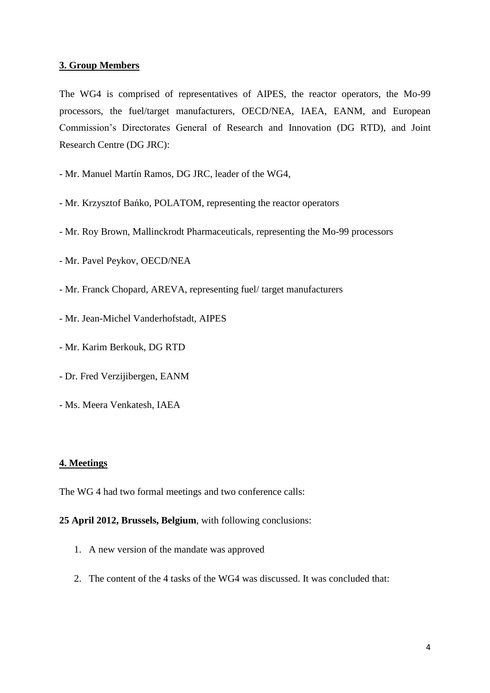### **3. Group Members**

The WG4 is comprised of representatives of AIPES, the reactor operators, the Mo-99 processors, the fuel/target manufacturers, OECD/NEA, IAEA, EANM, and European Commission's Directorates General of Research and Innovation (DG RTD), and Joint Research Centre (DG JRC):

- Mr. Manuel Martín Ramos, DG JRC, leader of the WG4,

- Mr. Krzysztof Bańko, POLATOM, representing the reactor operators
- Mr. Roy Brown, Mallinckrodt Pharmaceuticals, representing the Mo-99 processors
- Mr. Pavel Peykov, OECD/NEA
- Mr. Franck Chopard, AREVA, representing fuel/ target manufacturers
- Mr. Jean-Michel Vanderhofstadt, AIPES
- Mr. Karim Berkouk, DG RTD
- Dr. Fred Verzijibergen, EANM
- Ms. Meera Venkatesh, IAEA

### **4. Meetings**

The WG 4 had two formal meetings and two conference calls:

## **25 April 2012, Brussels, Belgium**, with following conclusions:

- 1. A new version of the mandate was approved
- 2. The content of the 4 tasks of the WG4 was discussed. It was concluded that: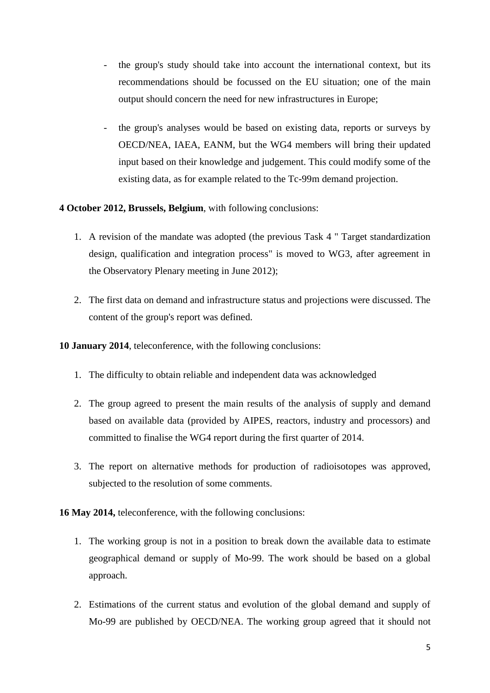- the group's study should take into account the international context, but its recommendations should be focussed on the EU situation; one of the main output should concern the need for new infrastructures in Europe;
- the group's analyses would be based on existing data, reports or surveys by OECD/NEA, IAEA, EANM, but the WG4 members will bring their updated input based on their knowledge and judgement. This could modify some of the existing data, as for example related to the Tc-99m demand projection.
- **4 October 2012, Brussels, Belgium**, with following conclusions:
	- 1. A revision of the mandate was adopted (the previous Task 4 " Target standardization design, qualification and integration process" is moved to WG3, after agreement in the Observatory Plenary meeting in June 2012);
	- 2. The first data on demand and infrastructure status and projections were discussed. The content of the group's report was defined.

**10 January 2014**, teleconference, with the following conclusions:

- 1. The difficulty to obtain reliable and independent data was acknowledged
- 2. The group agreed to present the main results of the analysis of supply and demand based on available data (provided by AIPES, reactors, industry and processors) and committed to finalise the WG4 report during the first quarter of 2014.
- 3. The report on alternative methods for production of radioisotopes was approved, subjected to the resolution of some comments.

**16 May 2014,** teleconference, with the following conclusions:

- 1. The working group is not in a position to break down the available data to estimate geographical demand or supply of Mo-99. The work should be based on a global approach.
- 2. Estimations of the current status and evolution of the global demand and supply of Mo-99 are published by OECD/NEA. The working group agreed that it should not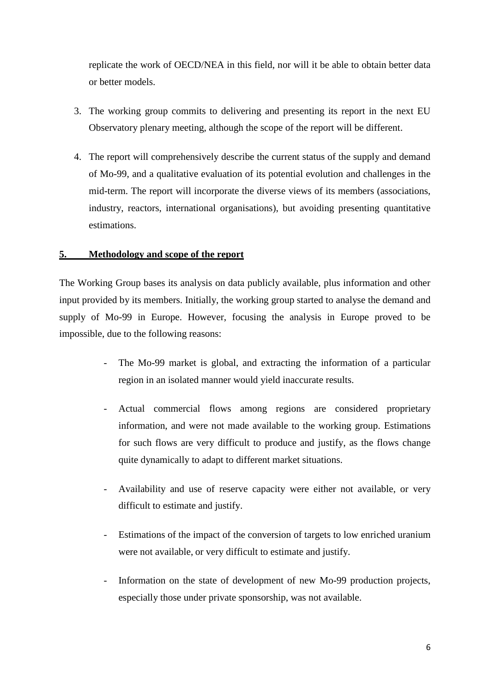replicate the work of OECD/NEA in this field, nor will it be able to obtain better data or better models.

- 3. The working group commits to delivering and presenting its report in the next EU Observatory plenary meeting, although the scope of the report will be different.
- 4. The report will comprehensively describe the current status of the supply and demand of Mo-99, and a qualitative evaluation of its potential evolution and challenges in the mid-term. The report will incorporate the diverse views of its members (associations, industry, reactors, international organisations), but avoiding presenting quantitative estimations.

## **5. Methodology and scope of the report**

The Working Group bases its analysis on data publicly available, plus information and other input provided by its members. Initially, the working group started to analyse the demand and supply of Mo-99 in Europe. However, focusing the analysis in Europe proved to be impossible, due to the following reasons:

- The Mo-99 market is global, and extracting the information of a particular region in an isolated manner would yield inaccurate results.
- Actual commercial flows among regions are considered proprietary information, and were not made available to the working group. Estimations for such flows are very difficult to produce and justify, as the flows change quite dynamically to adapt to different market situations.
- Availability and use of reserve capacity were either not available, or very difficult to estimate and justify.
- Estimations of the impact of the conversion of targets to low enriched uranium were not available, or very difficult to estimate and justify.
- Information on the state of development of new Mo-99 production projects, especially those under private sponsorship, was not available.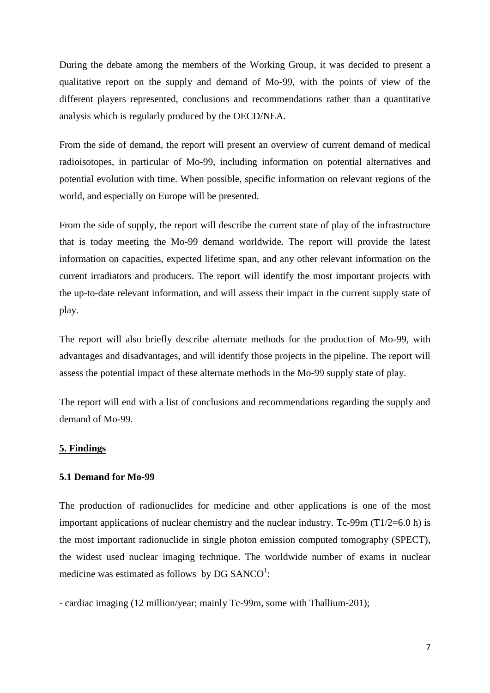During the debate among the members of the Working Group, it was decided to present a qualitative report on the supply and demand of Mo-99, with the points of view of the different players represented, conclusions and recommendations rather than a quantitative analysis which is regularly produced by the OECD/NEA.

From the side of demand, the report will present an overview of current demand of medical radioisotopes, in particular of Mo-99, including information on potential alternatives and potential evolution with time. When possible, specific information on relevant regions of the world, and especially on Europe will be presented.

From the side of supply, the report will describe the current state of play of the infrastructure that is today meeting the Mo-99 demand worldwide. The report will provide the latest information on capacities, expected lifetime span, and any other relevant information on the current irradiators and producers. The report will identify the most important projects with the up-to-date relevant information, and will assess their impact in the current supply state of play.

The report will also briefly describe alternate methods for the production of Mo-99, with advantages and disadvantages, and will identify those projects in the pipeline. The report will assess the potential impact of these alternate methods in the Mo-99 supply state of play.

The report will end with a list of conclusions and recommendations regarding the supply and demand of Mo-99.

### **5. Findings**

#### **5.1 Demand for Mo-99**

The production of radionuclides for medicine and other applications is one of the most important applications of nuclear chemistry and the nuclear industry. Tc-99m  $(T1/2=6.0 h)$  is the most important radionuclide in single photon emission computed tomography (SPECT), the widest used nuclear imaging technique. The worldwide number of exams in nuclear medicine was estimated as follows by DG SANCO<sup>1</sup>:

- cardiac imaging (12 million/year; mainly Tc-99m, some with Thallium-201);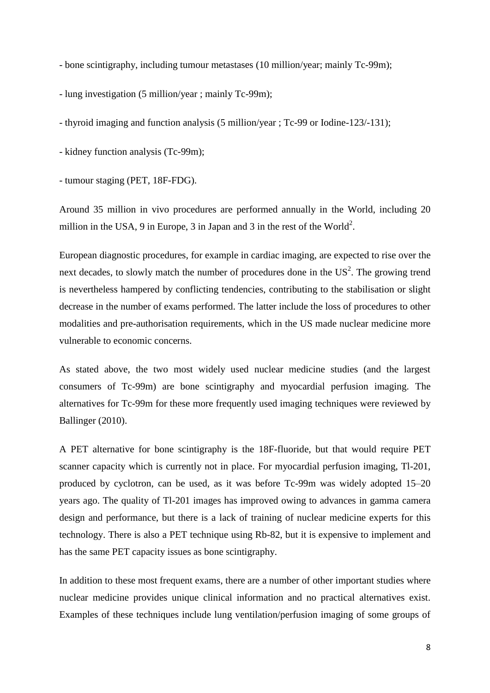- bone scintigraphy, including tumour metastases (10 million/year; mainly Tc-99m);

- lung investigation (5 million/year ; mainly Tc-99m);

- thyroid imaging and function analysis (5 million/year ; Tc-99 or Iodine-123/-131);

- kidney function analysis (Tc-99m);

- tumour staging (PET, 18F-FDG).

Around 35 million in vivo procedures are performed annually in the World, including 20 million in the USA, 9 in Europe, 3 in Japan and 3 in the rest of the World<sup>2</sup>.

European diagnostic procedures, for example in cardiac imaging, are expected to rise over the next decades, to slowly match the number of procedures done in the  $US^2$ . The growing trend is nevertheless hampered by conflicting tendencies, contributing to the stabilisation or slight decrease in the number of exams performed. The latter include the loss of procedures to other modalities and pre-authorisation requirements, which in the US made nuclear medicine more vulnerable to economic concerns.

As stated above, the two most widely used nuclear medicine studies (and the largest consumers of Tc-99m) are bone scintigraphy and myocardial perfusion imaging. The alternatives for Tc-99m for these more frequently used imaging techniques were reviewed by Ballinger (2010).

A PET alternative for bone scintigraphy is the 18F-fluoride, but that would require PET scanner capacity which is currently not in place. For myocardial perfusion imaging, Tl-201, produced by cyclotron, can be used, as it was before Tc-99m was widely adopted 15–20 years ago. The quality of Tl-201 images has improved owing to advances in gamma camera design and performance, but there is a lack of training of nuclear medicine experts for this technology. There is also a PET technique using Rb-82, but it is expensive to implement and has the same PET capacity issues as bone scintigraphy.

In addition to these most frequent exams, there are a number of other important studies where nuclear medicine provides unique clinical information and no practical alternatives exist. Examples of these techniques include lung ventilation/perfusion imaging of some groups of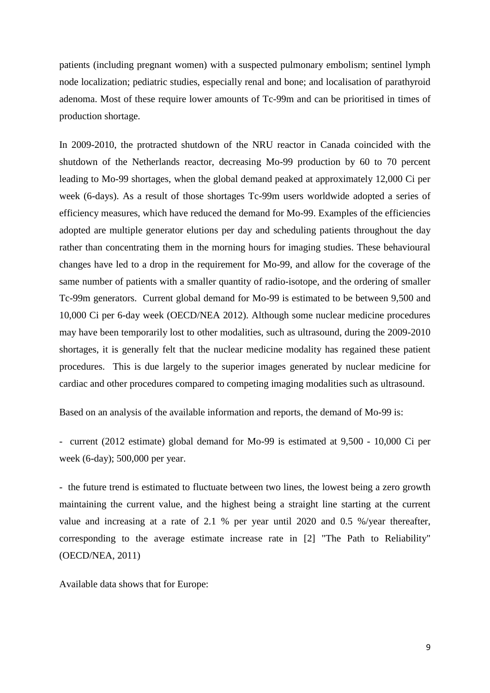patients (including pregnant women) with a suspected pulmonary embolism; sentinel lymph node localization; pediatric studies, especially renal and bone; and localisation of parathyroid adenoma. Most of these require lower amounts of Tc-99m and can be prioritised in times of production shortage.

In 2009-2010, the protracted shutdown of the NRU reactor in Canada coincided with the shutdown of the Netherlands reactor, decreasing Mo-99 production by 60 to 70 percent leading to Mo-99 shortages, when the global demand peaked at approximately 12,000 Ci per week (6-days). As a result of those shortages Tc-99m users worldwide adopted a series of efficiency measures, which have reduced the demand for Mo-99. Examples of the efficiencies adopted are multiple generator elutions per day and scheduling patients throughout the day rather than concentrating them in the morning hours for imaging studies. These behavioural changes have led to a drop in the requirement for Mo-99, and allow for the coverage of the same number of patients with a smaller quantity of radio-isotope, and the ordering of smaller Tc-99m generators. Current global demand for Mo-99 is estimated to be between 9,500 and 10,000 Ci per 6-day week (OECD/NEA 2012). Although some nuclear medicine procedures may have been temporarily lost to other modalities, such as ultrasound, during the 2009-2010 shortages, it is generally felt that the nuclear medicine modality has regained these patient procedures. This is due largely to the superior images generated by nuclear medicine for cardiac and other procedures compared to competing imaging modalities such as ultrasound.

Based on an analysis of the available information and reports, the demand of Mo-99 is:

- current (2012 estimate) global demand for Mo-99 is estimated at 9,500 - 10,000 Ci per week (6-day); 500,000 per year.

- the future trend is estimated to fluctuate between two lines, the lowest being a zero growth maintaining the current value, and the highest being a straight line starting at the current value and increasing at a rate of 2.1 % per year until 2020 and 0.5 %/year thereafter, corresponding to the average estimate increase rate in [2] "The Path to Reliability" (OECD/NEA, 2011)

Available data shows that for Europe: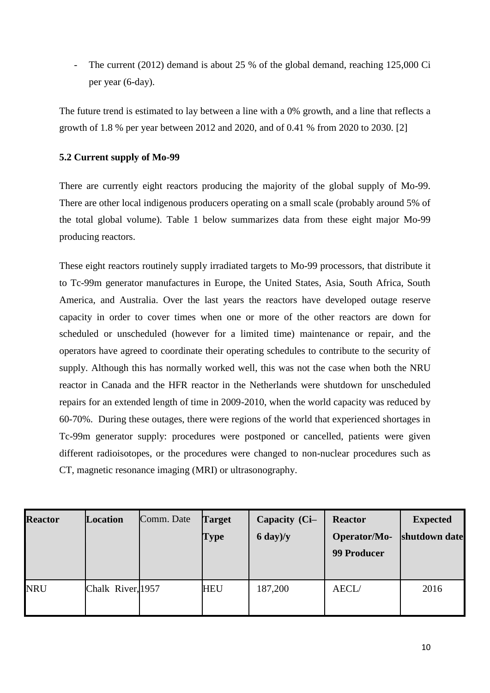The current (2012) demand is about 25 % of the global demand, reaching 125,000 Ci per year (6-day).

The future trend is estimated to lay between a line with a 0% growth, and a line that reflects a growth of 1.8 % per year between 2012 and 2020, and of 0.41 % from 2020 to 2030. [2]

# **5.2 Current supply of Mo-99**

There are currently eight reactors producing the majority of the global supply of Mo-99. There are other local indigenous producers operating on a small scale (probably around 5% of the total global volume). Table 1 below summarizes data from these eight major Mo-99 producing reactors.

These eight reactors routinely supply irradiated targets to Mo-99 processors, that distribute it to Tc-99m generator manufactures in Europe, the United States, Asia, South Africa, South America, and Australia. Over the last years the reactors have developed outage reserve capacity in order to cover times when one or more of the other reactors are down for scheduled or unscheduled (however for a limited time) maintenance or repair, and the operators have agreed to coordinate their operating schedules to contribute to the security of supply. Although this has normally worked well, this was not the case when both the NRU reactor in Canada and the HFR reactor in the Netherlands were shutdown for unscheduled repairs for an extended length of time in 2009-2010, when the world capacity was reduced by 60-70%. During these outages, there were regions of the world that experienced shortages in Tc-99m generator supply: procedures were postponed or cancelled, patients were given different radioisotopes, or the procedures were changed to non-nuclear procedures such as CT, magnetic resonance imaging (MRI) or ultrasonography.

| <b>Reactor</b> | <b>Location</b>   | Comm. Date | <b>Target</b><br>Type | Capacity (Ci-<br>$6 \text{ day})/y$ | <b>Reactor</b><br>Operator/Mo-<br><b>99 Producer</b> | <b>Expected</b><br>shutdown date |
|----------------|-------------------|------------|-----------------------|-------------------------------------|------------------------------------------------------|----------------------------------|
| <b>NRU</b>     | Chalk River, 1957 |            | <b>HEU</b>            | 187,200                             | AECL/                                                | 2016                             |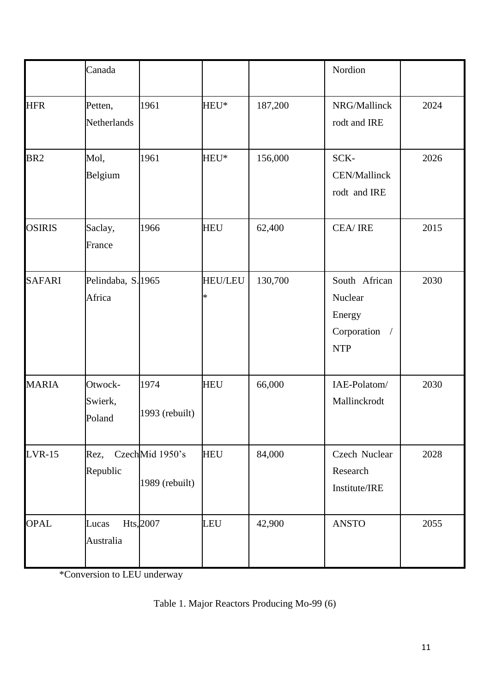|                 | Canada                       |                                   |                          |         | Nordion                                                         |      |
|-----------------|------------------------------|-----------------------------------|--------------------------|---------|-----------------------------------------------------------------|------|
| <b>HFR</b>      | Petten,<br>Netherlands       | 1961                              | HEU*                     | 187,200 | NRG/Mallinck<br>rodt and IRE                                    | 2024 |
| BR <sub>2</sub> | Mol,<br>Belgium              | 1961                              | HEU*                     | 156,000 | SCK-<br>CEN/Mallinck<br>rodt and IRE                            | 2026 |
| <b>OSIRIS</b>   | Saclay,<br>France            | 1966                              | <b>HEU</b>               | 62,400  | CEA/IRE                                                         | 2015 |
| <b>SAFARI</b>   | Pelindaba, S. 1965<br>Africa |                                   | <b>HEU/LEU</b><br>$\ast$ | 130,700 | South African<br>Nuclear<br>Energy<br>Corporation<br><b>NTP</b> | 2030 |
| <b>MARIA</b>    | Otwock-<br>Swierk,<br>Poland | 1974<br>1993 (rebuilt)            | <b>HEU</b>               | 66,000  | IAE-Polatom/<br>Mallinckrodt                                    | 2030 |
| $LVR-15$        | Rez,<br>Republic             | CzechMid 1950's<br>1989 (rebuilt) | <b>HEU</b>               | 84,000  | Czech Nuclear<br>Research<br>Institute/IRE                      | 2028 |
| <b>OPAL</b>     | Lucas<br>Australia           | Hts, 2007                         | <b>LEU</b>               | 42,900  | <b>ANSTO</b>                                                    | 2055 |

\*Conversion to LEU underway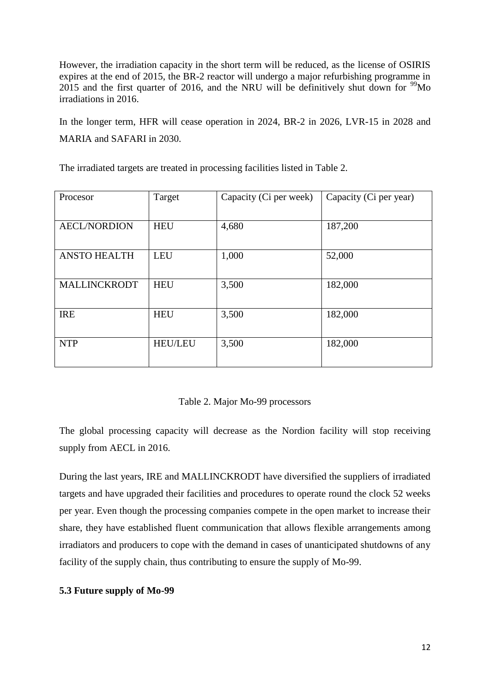However, the irradiation capacity in the short term will be reduced, as the license of OSIRIS expires at the end of 2015, the BR-2 reactor will undergo a major refurbishing programme in 2015 and the first quarter of 2016, and the NRU will be definitively shut down for  $\frac{99}{9}$ Mo irradiations in 2016.

In the longer term, HFR will cease operation in 2024, BR-2 in 2026, LVR-15 in 2028 and MARIA and SAFARI in 2030.

The irradiated targets are treated in processing facilities listed in Table 2.

| Procesor            | Target         | Capacity (Ci per week) | Capacity (Ci per year) |
|---------------------|----------------|------------------------|------------------------|
| <b>AECL/NORDION</b> | <b>HEU</b>     | 4,680                  | 187,200                |
| <b>ANSTO HEALTH</b> | <b>LEU</b>     | 1,000                  | 52,000                 |
| <b>MALLINCKRODT</b> | <b>HEU</b>     | 3,500                  | 182,000                |
| <b>IRE</b>          | <b>HEU</b>     | 3,500                  | 182,000                |
| <b>NTP</b>          | <b>HEU/LEU</b> | 3,500                  | 182,000                |

## Table 2. Major Mo-99 processors

The global processing capacity will decrease as the Nordion facility will stop receiving supply from AECL in 2016.

During the last years, IRE and MALLINCKRODT have diversified the suppliers of irradiated targets and have upgraded their facilities and procedures to operate round the clock 52 weeks per year. Even though the processing companies compete in the open market to increase their share, they have established fluent communication that allows flexible arrangements among irradiators and producers to cope with the demand in cases of unanticipated shutdowns of any facility of the supply chain, thus contributing to ensure the supply of Mo-99.

## **5.3 Future supply of Mo-99**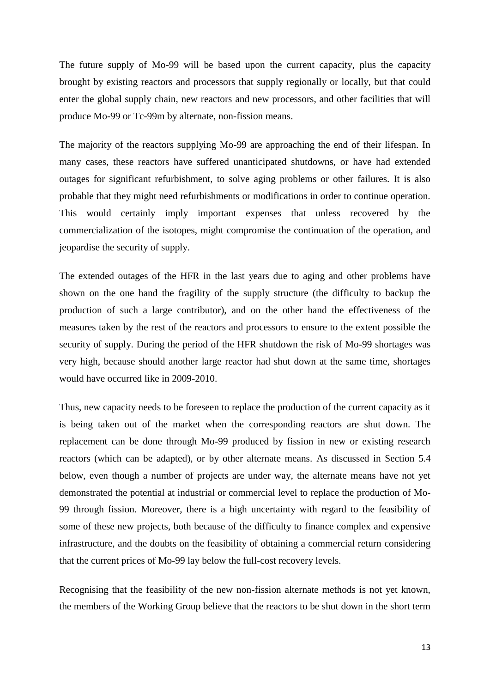The future supply of Mo-99 will be based upon the current capacity, plus the capacity brought by existing reactors and processors that supply regionally or locally, but that could enter the global supply chain, new reactors and new processors, and other facilities that will produce Mo-99 or Tc-99m by alternate, non-fission means.

The majority of the reactors supplying Mo-99 are approaching the end of their lifespan. In many cases, these reactors have suffered unanticipated shutdowns, or have had extended outages for significant refurbishment, to solve aging problems or other failures. It is also probable that they might need refurbishments or modifications in order to continue operation. This would certainly imply important expenses that unless recovered by the commercialization of the isotopes, might compromise the continuation of the operation, and jeopardise the security of supply.

The extended outages of the HFR in the last years due to aging and other problems have shown on the one hand the fragility of the supply structure (the difficulty to backup the production of such a large contributor), and on the other hand the effectiveness of the measures taken by the rest of the reactors and processors to ensure to the extent possible the security of supply. During the period of the HFR shutdown the risk of Mo-99 shortages was very high, because should another large reactor had shut down at the same time, shortages would have occurred like in 2009-2010.

Thus, new capacity needs to be foreseen to replace the production of the current capacity as it is being taken out of the market when the corresponding reactors are shut down. The replacement can be done through Mo-99 produced by fission in new or existing research reactors (which can be adapted), or by other alternate means. As discussed in Section 5.4 below, even though a number of projects are under way, the alternate means have not yet demonstrated the potential at industrial or commercial level to replace the production of Mo-99 through fission. Moreover, there is a high uncertainty with regard to the feasibility of some of these new projects, both because of the difficulty to finance complex and expensive infrastructure, and the doubts on the feasibility of obtaining a commercial return considering that the current prices of Mo-99 lay below the full-cost recovery levels.

Recognising that the feasibility of the new non-fission alternate methods is not yet known, the members of the Working Group believe that the reactors to be shut down in the short term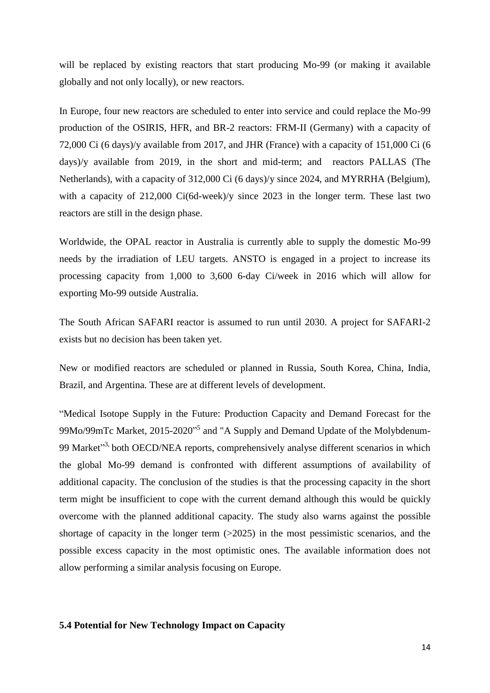will be replaced by existing reactors that start producing Mo-99 (or making it available globally and not only locally), or new reactors.

In Europe, four new reactors are scheduled to enter into service and could replace the Mo-99 production of the OSIRIS, HFR, and BR-2 reactors: FRM-II (Germany) with a capacity of 72,000 Ci (6 days)/y available from 2017, and JHR (France) with a capacity of 151,000 Ci (6 days)/y available from 2019, in the short and mid-term; and reactors PALLAS (The Netherlands), with a capacity of 312,000 Ci (6 days)/y since 2024, and MYRRHA (Belgium), with a capacity of 212,000 Ci(6d-week)/y since 2023 in the longer term. These last two reactors are still in the design phase.

Worldwide, the OPAL reactor in Australia is currently able to supply the domestic Mo-99 needs by the irradiation of LEU targets. ANSTO is engaged in a project to increase its processing capacity from 1,000 to 3,600 6-day Ci/week in 2016 which will allow for exporting Mo-99 outside Australia.

The South African SAFARI reactor is assumed to run until 2030. A project for SAFARI-2 exists but no decision has been taken yet.

New or modified reactors are scheduled or planned in Russia, South Korea, China, India, Brazil, and Argentina. These are at different levels of development.

"Medical Isotope Supply in the Future: Production Capacity and Demand Forecast for the 99Mo/99mTc Market, 2015-2020<sup>15</sup> and "A Supply and Demand Update of the Molybdenum-99 Market<sup>33</sup>, both OECD/NEA reports, comprehensively analyse different scenarios in which the global Mo-99 demand is confronted with different assumptions of availability of additional capacity. The conclusion of the studies is that the processing capacity in the short term might be insufficient to cope with the current demand although this would be quickly overcome with the planned additional capacity. The study also warns against the possible shortage of capacity in the longer term  $(>2025)$  in the most pessimistic scenarios, and the possible excess capacity in the most optimistic ones. The available information does not allow performing a similar analysis focusing on Europe.

## **5.4 Potential for New Technology Impact on Capacity**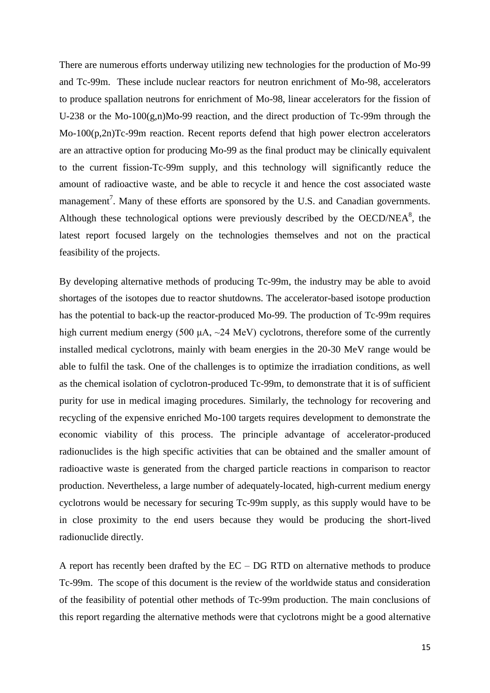There are numerous efforts underway utilizing new technologies for the production of Mo-99 and Tc-99m. These include nuclear reactors for neutron enrichment of Mo-98, accelerators to produce spallation neutrons for enrichment of Mo-98, linear accelerators for the fission of U-238 or the Mo-100(g,n)Mo-99 reaction, and the direct production of Tc-99m through the Mo-100(p,2n)Tc-99m reaction. Recent reports defend that high power electron accelerators are an attractive option for producing Mo-99 as the final product may be clinically equivalent to the current fission-Tc-99m supply, and this technology will significantly reduce the amount of radioactive waste, and be able to recycle it and hence the cost associated waste management<sup>7</sup>. Many of these efforts are sponsored by the U.S. and Canadian governments. Although these technological options were previously described by the OECD/NEA $<sup>8</sup>$ , the</sup> latest report focused largely on the technologies themselves and not on the practical feasibility of the projects.

By developing alternative methods of producing Tc-99m, the industry may be able to avoid shortages of the isotopes due to reactor shutdowns. The accelerator-based isotope production has the potential to back-up the reactor-produced Mo-99. The production of Tc-99m requires high current medium energy (500  $\mu$ A,  $\sim$ 24 MeV) cyclotrons, therefore some of the currently installed medical cyclotrons, mainly with beam energies in the 20-30 MeV range would be able to fulfil the task. One of the challenges is to optimize the irradiation conditions, as well as the chemical isolation of cyclotron-produced Tc-99m, to demonstrate that it is of sufficient purity for use in medical imaging procedures. Similarly, the technology for recovering and recycling of the expensive enriched Mo-100 targets requires development to demonstrate the economic viability of this process. The principle advantage of accelerator-produced radionuclides is the high specific activities that can be obtained and the smaller amount of radioactive waste is generated from the charged particle reactions in comparison to reactor production. Nevertheless, a large number of adequately-located, high-current medium energy cyclotrons would be necessary for securing Tc-99m supply, as this supply would have to be in close proximity to the end users because they would be producing the short-lived radionuclide directly.

A report has recently been drafted by the EC – DG RTD on alternative methods to produce Tc-99m. The scope of this document is the review of the worldwide status and consideration of the feasibility of potential other methods of Tc-99m production. The main conclusions of this report regarding the alternative methods were that cyclotrons might be a good alternative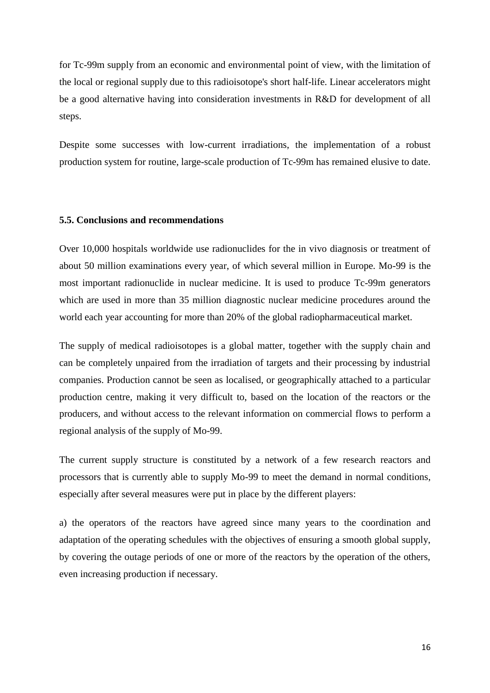for Tc-99m supply from an economic and environmental point of view, with the limitation of the local or regional supply due to this radioisotope's short half-life. Linear accelerators might be a good alternative having into consideration investments in R&D for development of all steps.

Despite some successes with low-current irradiations, the implementation of a robust production system for routine, large-scale production of Tc-99m has remained elusive to date.

### **5.5. Conclusions and recommendations**

Over 10,000 hospitals worldwide use radionuclides for the in vivo diagnosis or treatment of about 50 million examinations every year, of which several million in Europe. Mo-99 is the most important radionuclide in nuclear medicine. It is used to produce Tc-99m generators which are used in more than 35 million diagnostic nuclear medicine procedures around the world each year accounting for more than 20% of the global radiopharmaceutical market.

The supply of medical radioisotopes is a global matter, together with the supply chain and can be completely unpaired from the irradiation of targets and their processing by industrial companies. Production cannot be seen as localised, or geographically attached to a particular production centre, making it very difficult to, based on the location of the reactors or the producers, and without access to the relevant information on commercial flows to perform a regional analysis of the supply of Mo-99.

The current supply structure is constituted by a network of a few research reactors and processors that is currently able to supply Mo-99 to meet the demand in normal conditions, especially after several measures were put in place by the different players:

a) the operators of the reactors have agreed since many years to the coordination and adaptation of the operating schedules with the objectives of ensuring a smooth global supply, by covering the outage periods of one or more of the reactors by the operation of the others, even increasing production if necessary.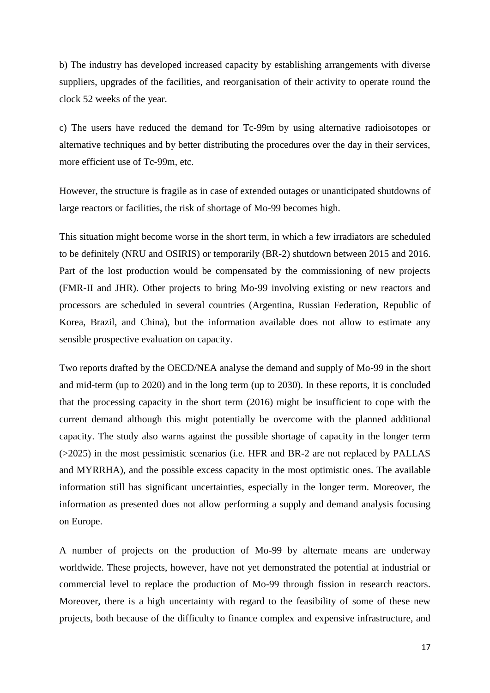b) The industry has developed increased capacity by establishing arrangements with diverse suppliers, upgrades of the facilities, and reorganisation of their activity to operate round the clock 52 weeks of the year.

c) The users have reduced the demand for Tc-99m by using alternative radioisotopes or alternative techniques and by better distributing the procedures over the day in their services, more efficient use of Tc-99m, etc.

However, the structure is fragile as in case of extended outages or unanticipated shutdowns of large reactors or facilities, the risk of shortage of Mo-99 becomes high.

This situation might become worse in the short term, in which a few irradiators are scheduled to be definitely (NRU and OSIRIS) or temporarily (BR-2) shutdown between 2015 and 2016. Part of the lost production would be compensated by the commissioning of new projects (FMR-II and JHR). Other projects to bring Mo-99 involving existing or new reactors and processors are scheduled in several countries (Argentina, Russian Federation, Republic of Korea, Brazil, and China), but the information available does not allow to estimate any sensible prospective evaluation on capacity.

Two reports drafted by the OECD/NEA analyse the demand and supply of Mo-99 in the short and mid-term (up to 2020) and in the long term (up to 2030). In these reports, it is concluded that the processing capacity in the short term (2016) might be insufficient to cope with the current demand although this might potentially be overcome with the planned additional capacity. The study also warns against the possible shortage of capacity in the longer term (>2025) in the most pessimistic scenarios (i.e. HFR and BR-2 are not replaced by PALLAS and MYRRHA), and the possible excess capacity in the most optimistic ones. The available information still has significant uncertainties, especially in the longer term. Moreover, the information as presented does not allow performing a supply and demand analysis focusing on Europe.

A number of projects on the production of Mo-99 by alternate means are underway worldwide. These projects, however, have not yet demonstrated the potential at industrial or commercial level to replace the production of Mo-99 through fission in research reactors. Moreover, there is a high uncertainty with regard to the feasibility of some of these new projects, both because of the difficulty to finance complex and expensive infrastructure, and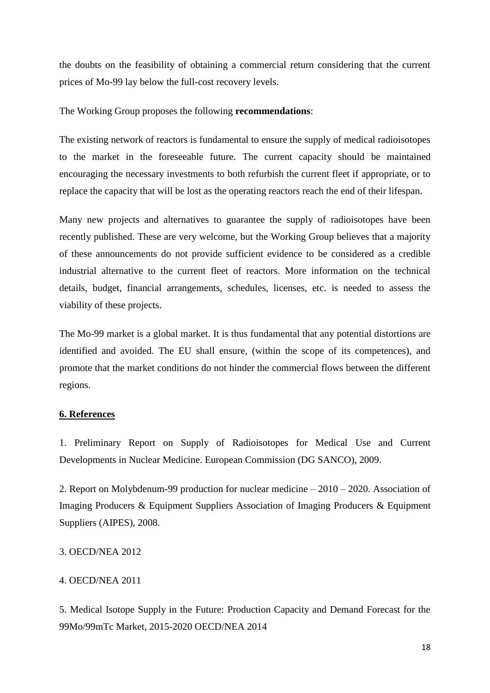the doubts on the feasibility of obtaining a commercial return considering that the current prices of Mo-99 lay below the full-cost recovery levels.

The Working Group proposes the following **recommendations**:

The existing network of reactors is fundamental to ensure the supply of medical radioisotopes to the market in the foreseeable future. The current capacity should be maintained encouraging the necessary investments to both refurbish the current fleet if appropriate, or to replace the capacity that will be lost as the operating reactors reach the end of their lifespan.

Many new projects and alternatives to guarantee the supply of radioisotopes have been recently published. These are very welcome, but the Working Group believes that a majority of these announcements do not provide sufficient evidence to be considered as a credible industrial alternative to the current fleet of reactors. More information on the technical details, budget, financial arrangements, schedules, licenses, etc. is needed to assess the viability of these projects.

The Mo-99 market is a global market. It is thus fundamental that any potential distortions are identified and avoided. The EU shall ensure, (within the scope of its competences), and promote that the market conditions do not hinder the commercial flows between the different regions.

# **6. References**

1. Preliminary Report on Supply of Radioisotopes for Medical Use and Current Developments in Nuclear Medicine. European Commission (DG SANCO), 2009.

2. Report on Molybdenum-99 production for nuclear medicine – 2010 – 2020. Association of Imaging Producers & Equipment Suppliers Association of Imaging Producers & Equipment Suppliers (AIPES), 2008.

# 3. OECD/NEA 2012

# 4. OECD/NEA 2011

5. Medical Isotope Supply in the Future: Production Capacity and Demand Forecast for the 99Mo/99mTc Market, 2015-2020 OECD/NEA 2014